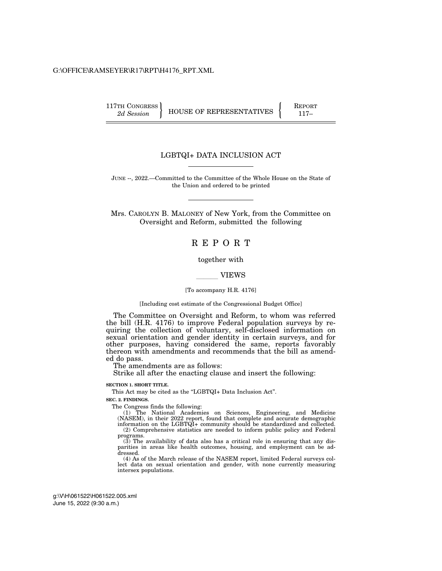#### G:\OFFICE\RAMSEYER\R17\RPT\H4176\_RPT.XML

 $\left\{\n \begin{array}{c}\n 117 \text{TH CONGRESS} \\
2d \text{ Session}\n \end{array}\n \right\}\n \quad\n \text{HOUSE OF REPRESENTATIVES}\n \left\{\n \begin{array}{c}\n \text{REPORTATION} \\
\text{117-}\n \end{array}\n \right\}$ 

## LGBTQI+ DATA INCLUSION ACT

JUNE --, 2022.—Committed to the Committee of the Whole House on the State of the Union and ordered to be printed

Mrs. CAROLYN B. MALONEY of New York, from the Committee on Oversight and Reform, submitted the following

## R E P O R T

#### together with

#### **VIEWS**

#### [To accompany H.R. 4176]

#### [Including cost estimate of the Congressional Budget Office]

The Committee on Oversight and Reform, to whom was referred the bill (H.R. 4176) to improve Federal population surveys by requiring the collection of voluntary, self-disclosed information on sexual orientation and gender identity in certain surveys, and for other purposes, having considered the same, reports favorably thereon with amendments and recommends that the bill as amended do pass.

The amendments are as follows:

Strike all after the enacting clause and insert the following:

## **SECTION 1. SHORT TITLE.**

This Act may be cited as the "LGBTQI+ Data Inclusion Act".

#### **SEC. 2. FINDINGS.**

The Congress finds the following:

(1) The National Academies on Sciences, Engineering, and Medicine (NASEM), in their 2022 report, found that complete and accurate demographic information on the LGBTQI+ community should be standardized and collected. (2) Comprehensive statistics are needed to inform public policy and Federal programs.

 $(3)$  The availability of data also has a critical role in ensuring that any disparities in areas like health outcomes, housing, and employment can be addressed.

(4) As of the March release of the NASEM report, limited Federal surveys collect data on sexual orientation and gender, with none currently measuring intersex populations.

June 15, 2022 (9:30 a.m.) g:\V\H\061522\H061522.005.xml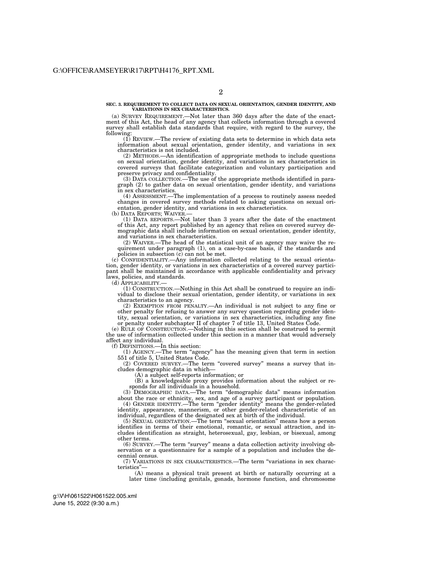**SEC. 3. REQUIREMENT TO COLLECT DATA ON SEXUAL ORIENTATION, GENDER IDENTITY, AND VARIATIONS IN SEX CHARACTERISTICS.** 

(a) SURVEY REQUIREMENT.—Not later than 360 days after the date of the enactment of this Act, the head of any agency that collects information through a covered survey shall establish data standards that require, with regard to the survey, the following:

(1) REVIEW.—The review of existing data sets to determine in which data sets information about sexual orientation, gender identity, and variations in sex characteristics is not included.

(2) METHODS.—An identification of appropriate methods to include questions on sexual orientation, gender identity, and variations in sex characteristics in covered surveys that facilitate categorization and voluntary participation and preserve privacy and confidentiality.

(3) DATA COLLECTION.—The use of the appropriate methods identified in paragraph (2) to gather data on sexual orientation, gender identity, and variations in sex characteristics.

(4) ASSESSMENT.—The implementation of a process to routinely assess needed changes in covered survey methods related to asking questions on sexual orientation, gender identity, and variations in sex characteristics.

(b) DATA REPORTS; WAIVER.—

(1) DATA REPORTS.—Not later than 3 years after the date of the enactment of this Act, any report published by an agency that relies on covered survey demographic data shall include information on sexual orientation, gender identity, and variations in sex characteristics.

(2) WAIVER.—The head of the statistical unit of an agency may waive the requirement under paragraph (1), on a case-by-case basis, if the standards and policies in subsection (c) can not be met.

(c) CONFIDENTIALITY.—Any information collected relating to the sexual orientation, gender identity, or variations in sex characteristics of a covered survey participant shall be maintained in accordance with applicable confidentiality and privacy laws, policies, and standards.

(d) APPLICABILITY.—

(1) CONSTRUCTION.—Nothing in this Act shall be construed to require an individual to disclose their sexual orientation, gender identity, or variations in sex characteristics to an agency.

(2) EXEMPTION FROM PENALTY.—An individual is not subject to any fine or other penalty for refusing to answer any survey question regarding gender identity, sexual orientation, or variations in sex characteristics, including any fine or penalty under subchapter II of chapter 7 of title 13, United States Code.

(e) RULE OF CONSTRUCTION.—Nothing in this section shall be construed to permit the use of information collected under this section in a manner that would adversely affect any individual.

(f) DEFINITIONS.—In this section:

(1) AGENCY.—The term ''agency'' has the meaning given that term in section 551 of title 5, United States Code.

(2) COVERED SURVEY.—The term ''covered survey'' means a survey that includes demographic data in which—

(A) a subject self-reports information; or

(B) a knowledgeable proxy provides information about the subject or responds for all individuals in a household.

(3) DEMOGRAPHIC DATA.—The term ''demographic data'' means information about the race or ethnicity, sex, and age of a survey participant or population. (4) GENDER IDENTITY.—The term ''gender identity'' means the gender-related identity, appearance, mannerism, or other gender-related characteristic of an individual, regardless of the designated sex at birth of the individual.

(5) SEXUAL ORIENTATION.—The term ''sexual orientation'' means how a person identifies in terms of their emotional, romantic, or sexual attraction, and includes identification as straight, heterosexual, gay, lesbian, or bisexual, among other terms.

(6) SURVEY.—The term ''survey'' means a data collection activity involving observation or a questionnaire for a sample of a population and includes the decennial census.

(7) VARIATIONS IN SEX CHARACTERISTICS.—The term ''variations in sex characteristics'

(A) means a physical trait present at birth or naturally occurring at a later time (including genitals, gonads, hormone function, and chromosome

June 15, 2022 (9:30 a.m.) g:\V\H\061522\H061522.005.xml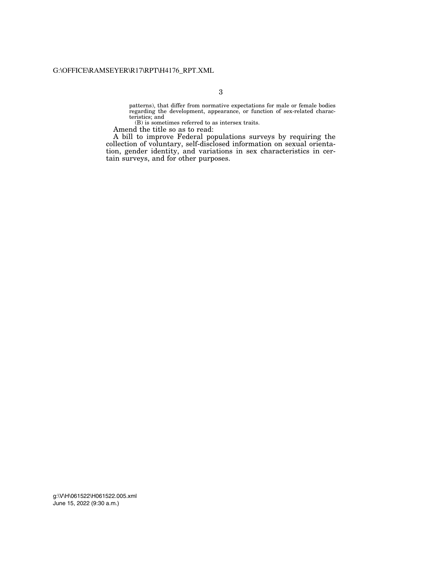patterns), that differ from normative expectations for male or female bodies regarding the development, appearance, or function of sex-related characteristics; and

(B) is sometimes referred to as intersex traits.

Amend the title so as to read:

A bill to improve Federal populations surveys by requiring the collection of voluntary, self-disclosed information on sexual orientation, gender identity, and variations in sex characteristics in certain surveys, and for other purposes.

June 15, 2022 (9:30 a.m.) g:\V\H\061522\H061522.005.xml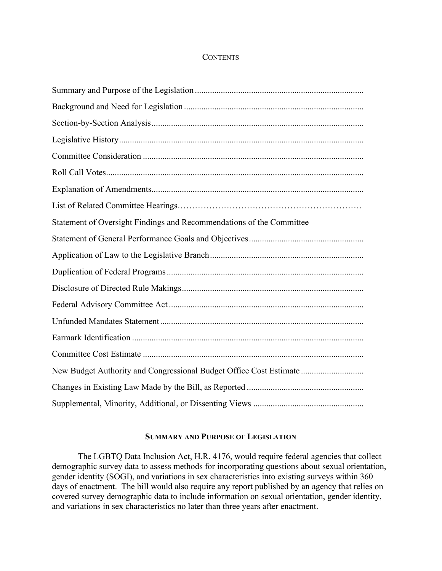## **CONTENTS**

| Statement of Oversight Findings and Recommendations of the Committee |
|----------------------------------------------------------------------|
|                                                                      |
|                                                                      |
|                                                                      |
|                                                                      |
|                                                                      |
|                                                                      |
|                                                                      |
|                                                                      |
| New Budget Authority and Congressional Budget Office Cost Estimate   |
|                                                                      |
|                                                                      |

## **SUMMARY AND PURPOSE OF LEGISLATION**

The LGBTQ Data Inclusion Act, H.R. 4176, would require federal agencies that collect demographic survey data to assess methods for incorporating questions about sexual orientation, gender identity (SOGI), and variations in sex characteristics into existing surveys within 360 days of enactment. The bill would also require any report published by an agency that relies on covered survey demographic data to include information on sexual orientation, gender identity, and variations in sex characteristics no later than three years after enactment.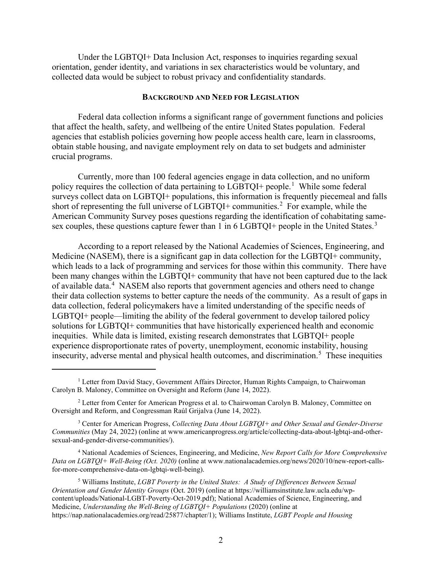Under the LGBTQI+ Data Inclusion Act, responses to inquiries regarding sexual orientation, gender identity, and variations in sex characteristics would be voluntary, and collected data would be subject to robust privacy and confidentiality standards.

#### **BACKGROUND AND NEED FOR LEGISLATION**

Federal data collection informs a significant range of government functions and policies that affect the health, safety, and wellbeing of the entire United States population. Federal agencies that establish policies governing how people access health care, learn in classrooms, obtain stable housing, and navigate employment rely on data to set budgets and administer crucial programs.

Currently, more than 100 federal agencies engage in data collection, and no uniform policy requires the collection of data pertaining to LGBTQI+ people.<sup>[1](#page-4-0)</sup> While some federal surveys collect data on LGBTQI+ populations, this information is frequently piecemeal and falls short of representing the full universe of LGBTQI+ communities.<sup>[2](#page-4-1)</sup> For example, while the American Community Survey poses questions regarding the identification of cohabitating same-sex couples, these questions capture fewer than 1 in 6 LGBTQI+ people in the United States.<sup>[3](#page-4-2)</sup>

According to a report released by the National Academies of Sciences, Engineering, and Medicine (NASEM), there is a significant gap in data collection for the LGBTQI+ community, which leads to a lack of programming and services for those within this community. There have been many changes within the LGBTQI+ community that have not been captured due to the lack of available data.<sup>[4](#page-4-3)</sup> NASEM also reports that government agencies and others need to change their data collection systems to better capture the needs of the community. As a result of gaps in data collection, federal policymakers have a limited understanding of the specific needs of LGBTQI+ people—limiting the ability of the federal government to develop tailored policy solutions for LGBTQI+ communities that have historically experienced health and economic inequities. While data is limited, existing research demonstrates that LGBTQI+ people experience disproportionate rates of poverty, unemployment, economic instability, housing insecurity, adverse mental and physical health outcomes, and discrimination.<sup>[5](#page-4-4)</sup> These inequities

<span id="page-4-0"></span><sup>&</sup>lt;sup>1</sup> Letter from David Stacy, Government Affairs Director, Human Rights Campaign, to Chairwoman Carolyn B. Maloney, Committee on Oversight and Reform (June 14, 2022).

<span id="page-4-1"></span> $2$  Letter from Center for American Progress et al. to Chairwoman Carolyn B. Maloney, Committee on Oversight and Reform, and Congressman Raúl Grijalva (June 14, 2022).

<span id="page-4-2"></span><sup>3</sup> Center for American Progress, *Collecting Data About LGBTQI+ and Other Sexual and Gender-Diverse Communities* (May 24, 2022) (online at www.americanprogress.org/article/collecting-data-about-lgbtqi-and-othersexual-and-gender-diverse-communities/).

<span id="page-4-3"></span><sup>4</sup> National Academies of Sciences, Engineering, and Medicine, *New Report Calls for More Comprehensive Data on LGBTQI+ Well-Being (Oct. 2020)* (online at www.nationalacademies.org/news/2020/10/new-report-callsfor-more-comprehensive-data-on-lgbtqi-well-being).

<span id="page-4-4"></span><sup>5</sup> Williams Institute, *LGBT Poverty in the United States: A Study of Differences Between Sexual Orientation and Gender Identity Groups* (Oct. 2019) (online at https://williamsinstitute.law.ucla.edu/wpcontent/uploads/National-LGBT-Poverty-Oct-2019.pdf); National Academies of Science, Engineering, and Medicine, *Understanding the Well-Being of LGBTQI+ Populations* (2020) (online at https://nap.nationalacademies.org/read/25877/chapter/1); Williams Institute, *LGBT People and Housing*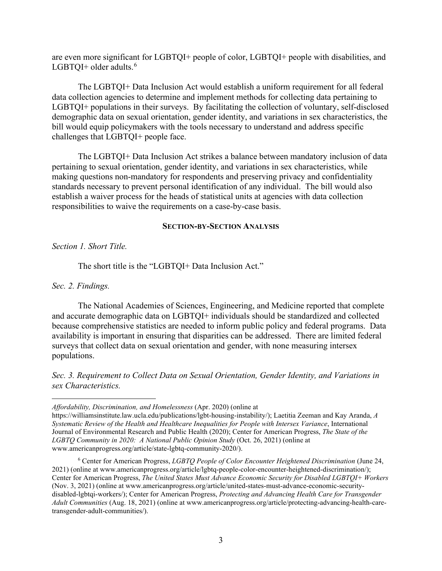are even more significant for LGBTQI+ people of color, LGBTQI+ people with disabilities, and LGBTOI+ older adults. $<sup>6</sup>$  $<sup>6</sup>$  $<sup>6</sup>$ </sup>

The LGBTQI+ Data Inclusion Act would establish a uniform requirement for all federal data collection agencies to determine and implement methods for collecting data pertaining to LGBTQI+ populations in their surveys. By facilitating the collection of voluntary, self-disclosed demographic data on sexual orientation, gender identity, and variations in sex characteristics, the bill would equip policymakers with the tools necessary to understand and address specific challenges that LGBTQI+ people face.

The LGBTQI+ Data Inclusion Act strikes a balance between mandatory inclusion of data pertaining to sexual orientation, gender identity, and variations in sex characteristics, while making questions non-mandatory for respondents and preserving privacy and confidentiality standards necessary to prevent personal identification of any individual. The bill would also establish a waiver process for the heads of statistical units at agencies with data collection responsibilities to waive the requirements on a case-by-case basis.

## **SECTION-BY-SECTION ANALYSIS**

*Section 1. Short Title.*

The short title is the "LGBTQI+ Data Inclusion Act."

*Sec. 2. Findings.*

The National Academies of Sciences, Engineering, and Medicine reported that complete and accurate demographic data on LGBTQI+ individuals should be standardized and collected because comprehensive statistics are needed to inform public policy and federal programs. Data availability is important in ensuring that disparities can be addressed. There are limited federal surveys that collect data on sexual orientation and gender, with none measuring intersex populations.

*Sec. 3. Requirement to Collect Data on Sexual Orientation, Gender Identity, and Variations in sex Characteristics.*

*Affordability, Discrimination, and Homelessness* (Apr. 2020) (online at

https://williamsinstitute.law.ucla.edu/publications/lgbt-housing-instability/); Laetitia Zeeman and Kay Aranda, *A Systematic Review of the Health and Healthcare Inequalities for People with Intersex Variance*, International Journal of Environmental Research and Public Health (2020); Center for American Progress, *The State of the LGBTQ Community in 2020: A National Public Opinion Study (Oct. 26, 2021) (online at* www.americanprogress.org/article/state-lgbtq-community-2020/).

<span id="page-5-0"></span><sup>6</sup> Center for American Progress, *LGBTQ People of Color Encounter Heightened Discrimination* (June 24, 2021) (online at www.americanprogress.org/article/lgbtq-people-color-encounter-heightened-discrimination/); Center for American Progress, *The United States Must Advance Economic Security for Disabled LGBTQI+ Workers*  (Nov. 3, 2021) (online at www.americanprogress.org/article/united-states-must-advance-economic-securitydisabled-lgbtqi-workers/); Center for American Progress, *Protecting and Advancing Health Care for Transgender Adult Communities* (Aug. 18, 2021) (online at www.americanprogress.org/article/protecting-advancing-health-caretransgender-adult-communities/).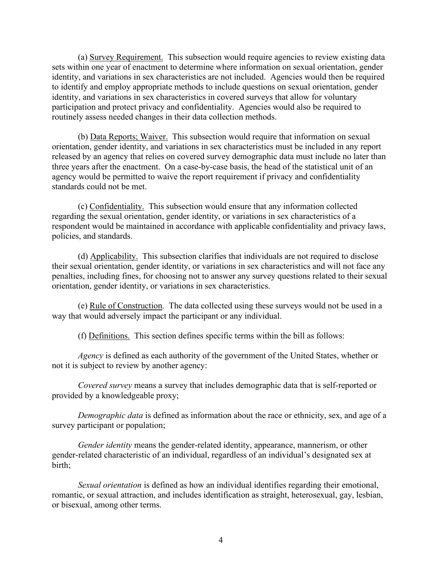(a) Survey Requirement. This subsection would require agencies to review existing data sets within one year of enactment to determine where information on sexual orientation, gender identity, and variations in sex characteristics are not included. Agencies would then be required to identify and employ appropriate methods to include questions on sexual orientation, gender identity, and variations in sex characteristics in covered surveys that allow for voluntary participation and protect privacy and confidentiality. Agencies would also be required to routinely assess needed changes in their data collection methods.

(b) Data Reports; Waiver. This subsection would require that information on sexual orientation, gender identity, and variations in sex characteristics must be included in any report released by an agency that relies on covered survey demographic data must include no later than three years after the enactment. On a case-by-case basis, the head of the statistical unit of an agency would be permitted to waive the report requirement if privacy and confidentiality standards could not be met.

(c) Confidentiality. This subsection would ensure that any information collected regarding the sexual orientation, gender identity, or variations in sex characteristics of a respondent would be maintained in accordance with applicable confidentiality and privacy laws, policies, and standards.

(d) Applicability. This subsection clarifies that individuals are not required to disclose their sexual orientation, gender identity, or variations in sex characteristics and will not face any penalties, including fines, for choosing not to answer any survey questions related to their sexual orientation, gender identity, or variations in sex characteristics.

(e) Rule of Construction. The data collected using these surveys would not be used in a way that would adversely impact the participant or any individual.

(f) Definitions. This section defines specific terms within the bill as follows:

*Agency* is defined as each authority of the government of the United States, whether or not it is subject to review by another agency:

*Covered survey* means a survey that includes demographic data that is self-reported or provided by a knowledgeable proxy;

*Demographic data* is defined as information about the race or ethnicity, sex, and age of a survey participant or population;

*Gender identity* means the gender-related identity, appearance, mannerism, or other gender-related characteristic of an individual, regardless of an individual's designated sex at birth;

*Sexual orientation* is defined as how an individual identifies regarding their emotional, romantic, or sexual attraction, and includes identification as straight, heterosexual, gay, lesbian, or bisexual, among other terms.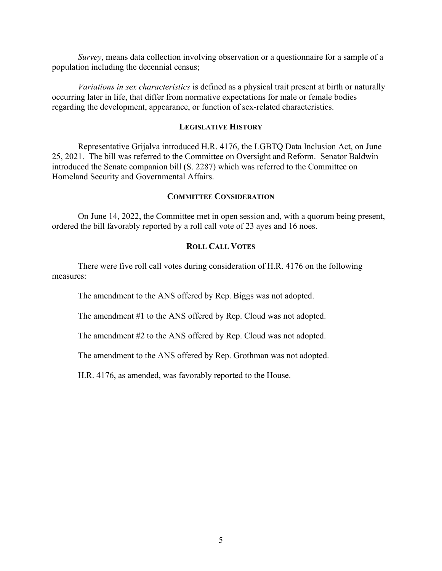*Survey*, means data collection involving observation or a questionnaire for a sample of a population including the decennial census;

*Variations in sex characteristics* is defined as a physical trait present at birth or naturally occurring later in life, that differ from normative expectations for male or female bodies regarding the development, appearance, or function of sex-related characteristics.

## **LEGISLATIVE HISTORY**

Representative Grijalva introduced H.R. 4176, the LGBTQ Data Inclusion Act, on June 25, 2021. The bill was referred to the Committee on Oversight and Reform. Senator Baldwin introduced the Senate companion bill (S. 2287) which was referred to the Committee on Homeland Security and Governmental Affairs.

## **COMMITTEE CONSIDERATION**

On June 14, 2022, the Committee met in open session and, with a quorum being present, ordered the bill favorably reported by a roll call vote of 23 ayes and 16 noes.

## **ROLL CALL VOTES**

There were five roll call votes during consideration of H.R. 4176 on the following measures:

The amendment to the ANS offered by Rep. Biggs was not adopted.

The amendment #1 to the ANS offered by Rep. Cloud was not adopted.

The amendment #2 to the ANS offered by Rep. Cloud was not adopted.

The amendment to the ANS offered by Rep. Grothman was not adopted.

H.R. 4176, as amended, was favorably reported to the House.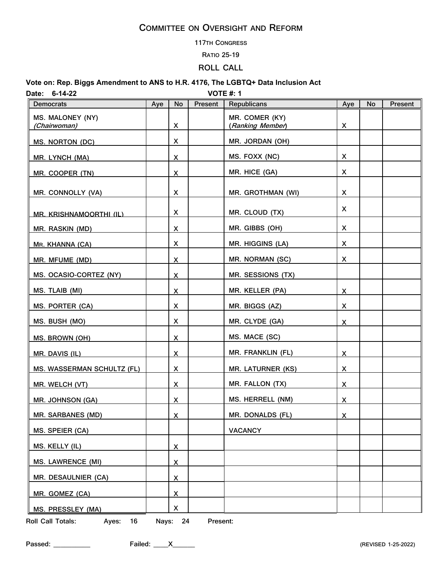#### **117TH CONGRESS**

#### **RATIO 25-19**

## **ROLL CALL**

## **Vote on: Rep. Biggs Amendment to ANS to H.R. 4176, The LGBTQ+ Data Inclusion Act Date: 6-14-22 VOTE #: 1**

| <b>Democrats</b>                  | Aye | <b>No</b>               | Present | Republicans                        | Aye            | No | Present |
|-----------------------------------|-----|-------------------------|---------|------------------------------------|----------------|----|---------|
| MS. MALONEY (NY)<br>(Chairwoman)  |     | $\mathsf{X}$            |         | MR. COMER (KY)<br>(Ranking Member) | X              |    |         |
| MS. NORTON (DC)                   |     | X                       |         | MR. JORDAN (OH)                    |                |    |         |
| MR. LYNCH (MA)                    |     | $\mathsf{X}$            |         | MS. FOXX (NC)                      | X              |    |         |
| MR. COOPER (TN)                   |     | $\overline{X}$          |         | MR. HICE (GA)                      | X              |    |         |
| MR. CONNOLLY (VA)                 |     | X                       |         | MR. GROTHMAN (WI)                  | X              |    |         |
| MR. KRISHNAMOORTHI (IL)           |     | X                       |         | MR. CLOUD (TX)                     | X              |    |         |
| <u>MR. RASKIN (MD)</u>            |     | $\overline{\mathsf{X}}$ |         | MR. GIBBS (OH)                     | X              |    |         |
| MR. KHANNA (CA)                   |     | X                       |         | MR. HIGGINS (LA)                   | X              |    |         |
| MR. MFUME (MD)                    |     | $\mathsf{X}$            |         | MR. NORMAN (SC)                    | X              |    |         |
| MS. OCASIO-CORTEZ (NY)            |     | X.                      |         | MR. SESSIONS (TX)                  |                |    |         |
| MS. TLAIB (MI)                    |     | $\overline{\mathsf{X}}$ |         | MR. KELLER (PA)                    | $\mathsf{X}$   |    |         |
| MS. PORTER (CA)                   |     | X                       |         | MR. BIGGS (AZ)                     | X              |    |         |
| MS. BUSH (MO)                     |     | X                       |         | MR. CLYDE (GA)                     | $\mathsf{X}$   |    |         |
| <b>MS. BROWN (OH)</b>             |     | X                       |         | MS. MACE (SC)                      |                |    |         |
| MR. DAVIS (IL)                    |     | X.                      |         | MR. FRANKLIN (FL)                  | X              |    |         |
| <b>MS. WASSERMAN SCHULTZ (FL)</b> |     | $\overline{\mathsf{X}}$ |         | <b>MR. LATURNER (KS)</b>           | $\mathsf{X}$   |    |         |
| MR. WELCH (VT)                    |     | $\overline{\mathsf{X}}$ |         | MR. FALLON (TX)                    | $\mathsf{X}$   |    |         |
| MR. JOHNSON (GA)                  |     | $\mathsf{X}$            |         | MS. HERRELL (NM)                   | $\overline{X}$ |    |         |
| <b>MR. SARBANES (MD)</b>          |     | $\mathsf{X}$            |         | MR. DONALDS (FL)                   | $\mathsf{X}$   |    |         |
| MS. SPEIER (CA)                   |     |                         |         | <b>VACANCY</b>                     |                |    |         |
| MS. KELLY (IL)                    |     | $\overline{\mathsf{X}}$ |         |                                    |                |    |         |
| <b>MS. LAWRENCE (MI)</b>          |     | $\overline{\mathsf{X}}$ |         |                                    |                |    |         |
| MR. DESAULNIER (CA)               |     | $\overline{\mathsf{X}}$ |         |                                    |                |    |         |
| MR. GOMEZ (CA)                    |     | $\overline{\mathsf{X}}$ |         |                                    |                |    |         |
| <b>MS. PRESSLEY (MA)</b>          |     | X                       |         |                                    |                |    |         |

**Roll Call Totals: Ayes: 16 Nays: 24 Present:**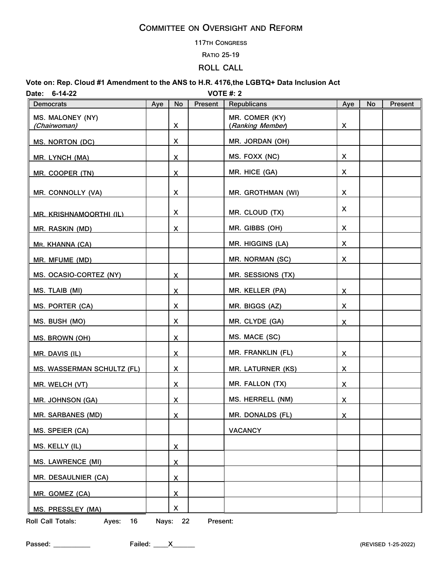#### **117TH CONGRESS**

#### **RATIO 25-19**

## **ROLL CALL**

## **Vote on: Rep. Cloud #1 Amendment to the ANS to H.R. 4176,the LGBTQ+ Data Inclusion Act**

**Date: 6-14-22 VOTE #: 2**

| <b>Democrats</b>                  | Aye | No                      | Present | Republicans                        | Aye                     | No | Present |
|-----------------------------------|-----|-------------------------|---------|------------------------------------|-------------------------|----|---------|
| MS. MALONEY (NY)<br>(Chairwoman)  |     | X                       |         | MR. COMER (KY)<br>(Ranking Member) | X                       |    |         |
| MS. NORTON (DC)                   |     | X                       |         | MR. JORDAN (OH)                    |                         |    |         |
| MR. LYNCH (MA)                    |     | X                       |         | MS. FOXX (NC)                      | X                       |    |         |
| MR. COOPER (TN)                   |     | $\overline{\mathsf{X}}$ |         | MR. HICE (GA)                      | X                       |    |         |
| MR. CONNOLLY (VA)                 |     | X                       |         | MR. GROTHMAN (WI)                  | X                       |    |         |
| MR. KRISHNAMOORTHI (IL)           |     | X                       |         | MR. CLOUD (TX)                     | X                       |    |         |
| MR. RASKIN (MD)                   |     | X                       |         | MR. GIBBS (OH)                     | X                       |    |         |
| MR. KHANNA (CA)                   |     |                         |         | MR. HIGGINS (LA)                   | X                       |    |         |
| MR. MFUME (MD)                    |     |                         |         | MR. NORMAN (SC)                    | X                       |    |         |
| MS. OCASIO-CORTEZ (NY)            |     | X                       |         | MR. SESSIONS (TX)                  |                         |    |         |
| MS. TLAIB (MI)                    |     | X                       |         | MR. KELLER (PA)                    | X                       |    |         |
| MS. PORTER (CA)                   |     | X                       |         | MR. BIGGS (AZ)                     | X                       |    |         |
| MS. BUSH (MO)                     |     | X                       |         | MR. CLYDE (GA)                     | X                       |    |         |
| MS. BROWN (OH)                    |     | X                       |         | MS. MACE (SC)                      |                         |    |         |
| MR. DAVIS (IL)                    |     | X                       |         | MR. FRANKLIN (FL)                  | X                       |    |         |
| <b>MS. WASSERMAN SCHULTZ (FL)</b> |     | X                       |         | <b>MR. LATURNER (KS)</b>           | X                       |    |         |
| MR. WELCH (VT)                    |     | X                       |         | MR. FALLON (TX)                    | X                       |    |         |
| <b>MR. JOHNSON (GA)</b>           |     | X                       |         | MS. HERRELL (NM)                   | X                       |    |         |
| <b>MR. SARBANES (MD)</b>          |     | X                       |         | <b>MR. DONALDS (FL)</b>            | $\overline{\mathsf{X}}$ |    |         |
| MS. SPEIER (CA)                   |     |                         |         | <b>VACANCY</b>                     |                         |    |         |
| MS. KELLY (IL)                    |     | $\overline{\mathsf{X}}$ |         |                                    |                         |    |         |
| <b>MS. LAWRENCE (MI)</b>          |     | X                       |         |                                    |                         |    |         |
| MR. DESAULNIER (CA)               |     | $\overline{\mathsf{X}}$ |         |                                    |                         |    |         |
| MR. GOMEZ (CA)                    |     | $\overline{\mathsf{X}}$ |         |                                    |                         |    |         |
| <b>MS. PRESSLEY (MA)</b>          |     | X                       |         |                                    |                         |    |         |

**Roll Call Totals: Ayes: 16 Nays: 22 Present:**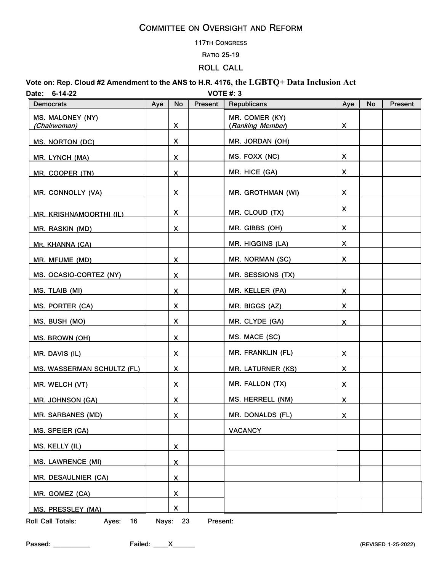#### **117TH CONGRESS**

#### **RATIO 25-19**

## **ROLL CALL**

## **Vote on: Rep. Cloud #2 Amendment to the ANS to H.R. 4176, the LGBTQ+ Data Inclusion Act Date: 6-14-22 VOTE #: 3**

| <b>Democrats</b>                  | Aye | No                      | Present | Republicans                        | Aye                     | No | Present |
|-----------------------------------|-----|-------------------------|---------|------------------------------------|-------------------------|----|---------|
| MS. MALONEY (NY)<br>(Chairwoman)  |     | X                       |         | MR. COMER (KY)<br>(Ranking Member) | X                       |    |         |
| MS. NORTON (DC)                   |     | X                       |         | MR. JORDAN (OH)                    |                         |    |         |
| MR. LYNCH (MA)                    |     | X                       |         | MS. FOXX (NC)                      | X                       |    |         |
| MR. COOPER (TN)                   |     | $\overline{\mathsf{X}}$ |         | MR. HICE (GA)                      | X                       |    |         |
| MR. CONNOLLY (VA)                 |     | X                       |         | MR. GROTHMAN (WI)                  | X                       |    |         |
| MR. KRISHNAMOORTHI (IL)           |     | X                       |         | MR. CLOUD (TX)                     | X                       |    |         |
| MR. RASKIN (MD)                   |     | $\overline{\mathsf{X}}$ |         | MR. GIBBS (OH)                     | X                       |    |         |
| MR. KHANNA (CA)                   |     |                         |         | MR. HIGGINS (LA)                   | X                       |    |         |
| MR. MFUME (MD)                    |     | $\overline{\mathsf{X}}$ |         | MR. NORMAN (SC)                    | X                       |    |         |
| MS. OCASIO-CORTEZ (NY)            |     | X                       |         | MR. SESSIONS (TX)                  |                         |    |         |
| MS. TLAIB (MI)                    |     | $\overline{\mathsf{X}}$ |         | MR. KELLER (PA)                    | $\overline{\mathsf{X}}$ |    |         |
| MS. PORTER (CA)                   |     | X                       |         | MR. BIGGS (AZ)                     | X                       |    |         |
| MS. BUSH (MO)                     |     | X                       |         | MR. CLYDE (GA)                     | $\overline{\mathsf{X}}$ |    |         |
| MS. BROWN (OH)                    |     | $\overline{\mathsf{X}}$ |         | MS. MACE (SC)                      |                         |    |         |
| MR. DAVIS (IL)                    |     | X                       |         | MR. FRANKLIN (FL)                  | X                       |    |         |
| <b>MS. WASSERMAN SCHULTZ (FL)</b> |     | $\mathsf{X}$            |         | <b>MR. LATURNER (KS)</b>           | X                       |    |         |
| MR. WELCH (VT)                    |     | $\overline{\mathsf{X}}$ |         | MR. FALLON (TX)                    | $\overline{\mathsf{X}}$ |    |         |
| <b>MR. JOHNSON (GA)</b>           |     | X                       |         | <b>MS. HERRELL (NM)</b>            | $\overline{\mathsf{X}}$ |    |         |
| <b>MR. SARBANES (MD)</b>          |     | $\overline{\mathsf{X}}$ |         | <b>MR. DONALDS (FL)</b>            | $\overline{\mathsf{X}}$ |    |         |
| MS. SPEIER (CA)                   |     |                         |         | <b>VACANCY</b>                     |                         |    |         |
| MS. KELLY (IL)                    |     | X                       |         |                                    |                         |    |         |
| <b>MS. LAWRENCE (MI)</b>          |     | $\overline{\mathsf{X}}$ |         |                                    |                         |    |         |
| MR. DESAULNIER (CA)               |     | $\overline{\mathsf{X}}$ |         |                                    |                         |    |         |
| MR. GOMEZ (CA)                    |     | $\overline{\mathsf{X}}$ |         |                                    |                         |    |         |
| MS. PRESSLEY (MA)                 |     | X                       |         |                                    |                         |    |         |

**Roll Call Totals: Ayes: 16 Nays: 23 Present:**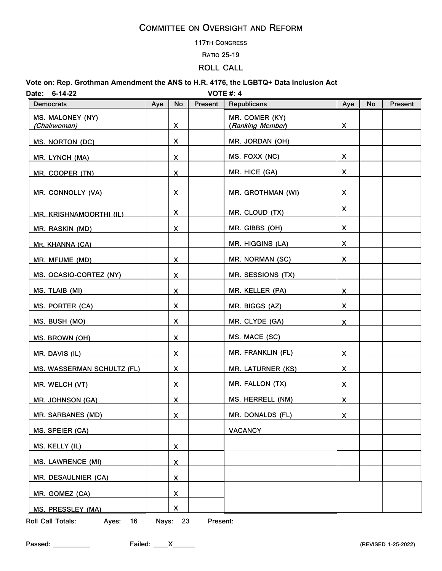#### **117TH CONGRESS**

#### **RATIO 25-19**

## **ROLL CALL**

## **Vote on: Rep. Grothman Amendment the ANS to H.R. 4176, the LGBTQ+ Data Inclusion Act Date: 6-14-22 VOTE #: 4**

| Democrats                         | Aye | No                      | Present | Republicans                        | Aye                     | No | Present |
|-----------------------------------|-----|-------------------------|---------|------------------------------------|-------------------------|----|---------|
| MS. MALONEY (NY)<br>(Chairwoman)  |     | $\pmb{\mathsf{X}}$      |         | MR. COMER (KY)<br>(Ranking Member) | X                       |    |         |
| MS. NORTON (DC)                   |     | X                       |         | MR. JORDAN (OH)                    |                         |    |         |
| MR. LYNCH (MA)                    |     | $\mathsf{X}$            |         | MS. FOXX (NC)                      | X                       |    |         |
| MR. COOPER (TN)                   |     | $\overline{\mathsf{X}}$ |         | MR. HICE (GA)                      | X                       |    |         |
| MR. CONNOLLY (VA)                 |     | X                       |         | MR. GROTHMAN (WI)                  | X                       |    |         |
| MR. KRISHNAMOORTHI (IL)           |     | X                       |         | MR. CLOUD (TX)                     | X                       |    |         |
| <b>MR. RASKIN (MD)</b>            |     | X                       |         | MR. GIBBS (OH)                     | X                       |    |         |
| MR. KHANNA (CA)                   |     |                         |         | MR. HIGGINS (LA)                   | X                       |    |         |
| MR. MFUME (MD)                    |     | $\mathsf{X}$            |         | MR. NORMAN (SC)                    | X                       |    |         |
| MS. OCASIO-CORTEZ (NY)            |     | X                       |         | MR. SESSIONS (TX)                  |                         |    |         |
| MS. TLAIB (MI)                    |     | $\overline{\mathsf{X}}$ |         | MR. KELLER (PA)                    | X                       |    |         |
| MS. PORTER (CA)                   |     | X                       |         | MR. BIGGS (AZ)                     | X                       |    |         |
| MS. BUSH (MO)                     |     | X                       |         | MR. CLYDE (GA)                     | $\mathsf{X}$            |    |         |
| <b>MS. BROWN (OH)</b>             |     | X                       |         | MS. MACE (SC)                      |                         |    |         |
| MR. DAVIS (IL)                    |     | X                       |         | MR. FRANKLIN (FL)                  | X                       |    |         |
| <b>MS. WASSERMAN SCHULTZ (FL)</b> |     | $\overline{\mathsf{X}}$ |         | <b>MR. LATURNER (KS)</b>           | $\overline{\mathsf{X}}$ |    |         |
| MR. WELCH (VT)                    |     | $\overline{\mathsf{X}}$ |         | MR. FALLON (TX)                    | $\mathsf{X}$            |    |         |
| <b>MR. JOHNSON (GA)</b>           |     | $\mathsf{X}$            |         | MS. HERRELL (NM)                   | $\mathsf{X}$            |    |         |
| <b>MR. SARBANES (MD)</b>          |     | $\mathsf{X}$            |         | <b>MR. DONALDS (FL)</b>            | $\overline{\mathsf{X}}$ |    |         |
| MS. SPEIER (CA)                   |     |                         |         | <b>VACANCY</b>                     |                         |    |         |
| MS. KELLY (IL)                    |     | X                       |         |                                    |                         |    |         |
| <b>MS. LAWRENCE (MI)</b>          |     | $\overline{\mathsf{X}}$ |         |                                    |                         |    |         |
| MR. DESAULNIER (CA)               |     | <u>х</u>                |         |                                    |                         |    |         |
| MR. GOMEZ (CA)                    |     | X                       |         |                                    |                         |    |         |
| <b>MS. PRESSLEY (MA)</b>          |     | X                       |         |                                    |                         |    |         |

**Roll Call Totals: Ayes: 16 Nays: 23 Present:**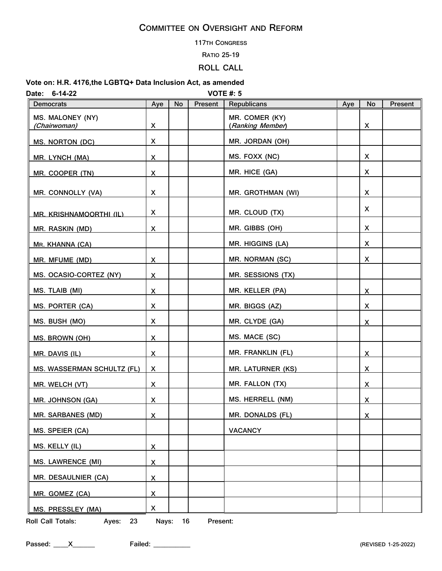#### **117TH CONGRESS**

#### **RATIO 25-19**

## **ROLL CALL**

#### **Vote on: H.R. 4176,the LGBTQ+ Data Inclusion Act, as amended**

| <b>VOTE #: 5</b><br>$6 - 14 - 22$<br>Date: |                         |    |         |                                    |     |                         |         |  |
|--------------------------------------------|-------------------------|----|---------|------------------------------------|-----|-------------------------|---------|--|
| <b>Democrats</b>                           | Aye                     | No | Present | <b>Republicans</b>                 | Aye | No                      | Present |  |
| MS. MALONEY (NY)<br>(Chairwoman)           | X                       |    |         | MR. COMER (KY)<br>(Ranking Member) |     | X                       |         |  |
| MS. NORTON (DC)                            | X                       |    |         | MR. JORDAN (OH)                    |     |                         |         |  |
| MR. LYNCH (MA)                             | $\overline{\mathsf{X}}$ |    |         | MS. FOXX (NC)                      |     | X                       |         |  |
| MR. COOPER (TN)                            | $\overline{\mathsf{X}}$ |    |         | MR. HICE (GA)                      |     | X                       |         |  |
| MR. CONNOLLY (VA)                          | X                       |    |         | MR. GROTHMAN (WI)                  |     | X                       |         |  |
| MR. KRISHNAMOORTHI (IL)                    | X                       |    |         | MR. CLOUD (TX)                     |     | X                       |         |  |
| MR. RASKIN (MD)                            | X                       |    |         | MR. GIBBS (OH)                     |     | X                       |         |  |
| MR. KHANNA (CA)                            |                         |    |         | MR. HIGGINS (LA)                   |     | X                       |         |  |
| MR. MFUME (MD)                             | $\overline{\mathsf{X}}$ |    |         | MR. NORMAN (SC)                    |     | X                       |         |  |
| MS. OCASIO-CORTEZ (NY)                     | X                       |    |         | MR. SESSIONS (TX)                  |     |                         |         |  |
| MS. TLAIB (MI)                             | X.                      |    |         | MR. KELLER (PA)                    |     | X                       |         |  |
| MS. PORTER (CA)                            | X                       |    |         | MR. BIGGS (AZ)                     |     | X                       |         |  |
| MS. BUSH (MO)                              | X                       |    |         | MR. CLYDE (GA)                     |     | $\mathsf{X}$            |         |  |
| <b>MS. BROWN (OH)</b>                      | X                       |    |         | MS. MACE (SC)                      |     |                         |         |  |
| MR. DAVIS (IL)                             | X                       |    |         | MR. FRANKLIN (FL)                  |     | X                       |         |  |
| <b>MS. WASSERMAN SCHULTZ (FL)</b>          | X.                      |    |         | <b>MR. LATURNER (KS)</b>           |     | X                       |         |  |
| MR. WELCH (VT)                             | $\overline{\mathsf{X}}$ |    |         | MR. FALLON (TX)                    |     | $\mathsf{X}$            |         |  |
| <b>MR. JOHNSON (GA)</b>                    | $\overline{\mathsf{X}}$ |    |         | MS. HERRELL (NM)                   |     | $\overline{\mathsf{X}}$ |         |  |
| <b>MR. SARBANES (MD)</b>                   | X                       |    |         | MR. DONALDS (FL)                   |     | <u>x</u>                |         |  |
| MS. SPEIER (CA)                            |                         |    |         | <b>VACANCY</b>                     |     |                         |         |  |
| MS. KELLY (IL)                             | $\overline{\mathsf{X}}$ |    |         |                                    |     |                         |         |  |
| <b>MS. LAWRENCE (MI)</b>                   | $\overline{\mathsf{X}}$ |    |         |                                    |     |                         |         |  |
| <b>MR. DESAULNIER (CA)</b>                 | $\overline{\mathsf{X}}$ |    |         |                                    |     |                         |         |  |
| MR. GOMEZ (CA)                             | $\overline{\mathsf{X}}$ |    |         |                                    |     |                         |         |  |
| MS. PRESSLEY (MA)                          | X                       |    |         |                                    |     |                         |         |  |

**Roll Call Totals: Ayes: 23 Nays: 16 Present:**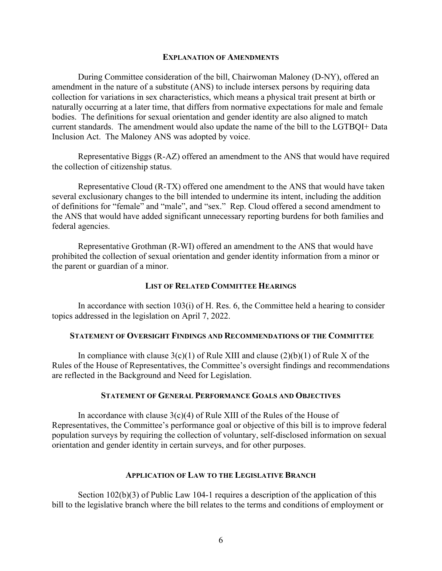#### **EXPLANATION OF AMENDMENTS**

During Committee consideration of the bill, Chairwoman Maloney (D-NY), offered an amendment in the nature of a substitute (ANS) to include intersex persons by requiring data collection for variations in sex characteristics, which means a physical trait present at birth or naturally occurring at a later time, that differs from normative expectations for male and female bodies. The definitions for sexual orientation and gender identity are also aligned to match current standards. The amendment would also update the name of the bill to the LGTBQI+ Data Inclusion Act. The Maloney ANS was adopted by voice.

Representative Biggs (R-AZ) offered an amendment to the ANS that would have required the collection of citizenship status.

Representative Cloud (R-TX) offered one amendment to the ANS that would have taken several exclusionary changes to the bill intended to undermine its intent, including the addition of definitions for "female" and "male", and "sex." Rep. Cloud offered a second amendment to the ANS that would have added significant unnecessary reporting burdens for both families and federal agencies.

Representative Grothman (R-WI) offered an amendment to the ANS that would have prohibited the collection of sexual orientation and gender identity information from a minor or the parent or guardian of a minor.

### **LIST OF RELATED COMMITTEE HEARINGS**

In accordance with section  $103(i)$  of H. Res. 6, the Committee held a hearing to consider topics addressed in the legislation on April 7, 2022.

### **STATEMENT OF OVERSIGHT FINDINGS AND RECOMMENDATIONS OF THE COMMITTEE**

In compliance with clause  $3(c)(1)$  of Rule XIII and clause  $(2)(b)(1)$  of Rule X of the Rules of the House of Representatives, the Committee's oversight findings and recommendations are reflected in the Background and Need for Legislation.

## **STATEMENT OF GENERAL PERFORMANCE GOALS AND OBJECTIVES**

In accordance with clause  $3(c)(4)$  of Rule XIII of the Rules of the House of Representatives, the Committee's performance goal or objective of this bill is to improve federal population surveys by requiring the collection of voluntary, self-disclosed information on sexual orientation and gender identity in certain surveys, and for other purposes.

## **APPLICATION OF LAW TO THE LEGISLATIVE BRANCH**

Section 102(b)(3) of Public Law 104-1 requires a description of the application of this bill to the legislative branch where the bill relates to the terms and conditions of employment or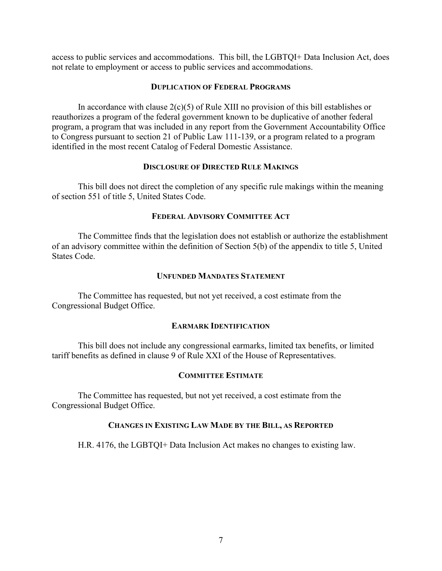access to public services and accommodations. This bill, the LGBTQI+ Data Inclusion Act, does not relate to employment or access to public services and accommodations.

## **DUPLICATION OF FEDERAL PROGRAMS**

In accordance with clause  $2(c)(5)$  of Rule XIII no provision of this bill establishes or reauthorizes a program of the federal government known to be duplicative of another federal program, a program that was included in any report from the Government Accountability Office to Congress pursuant to section 21 of Public Law 111-139, or a program related to a program identified in the most recent Catalog of Federal Domestic Assistance.

## **DISCLOSURE OF DIRECTED RULE MAKINGS**

This bill does not direct the completion of any specific rule makings within the meaning of section 551 of title 5, United States Code.

## **FEDERAL ADVISORY COMMITTEE ACT**

The Committee finds that the legislation does not establish or authorize the establishment of an advisory committee within the definition of Section 5(b) of the appendix to title 5, United States Code.

### **UNFUNDED MANDATES STATEMENT**

The Committee has requested, but not yet received, a cost estimate from the Congressional Budget Office.

### **EARMARK IDENTIFICATION**

This bill does not include any congressional earmarks, limited tax benefits, or limited tariff benefits as defined in clause 9 of Rule XXI of the House of Representatives.

## **COMMITTEE ESTIMATE**

The Committee has requested, but not yet received, a cost estimate from the Congressional Budget Office.

### **CHANGES IN EXISTING LAW MADE BY THE BILL, AS REPORTED**

H.R. 4176, the LGBTQI+ Data Inclusion Act makes no changes to existing law.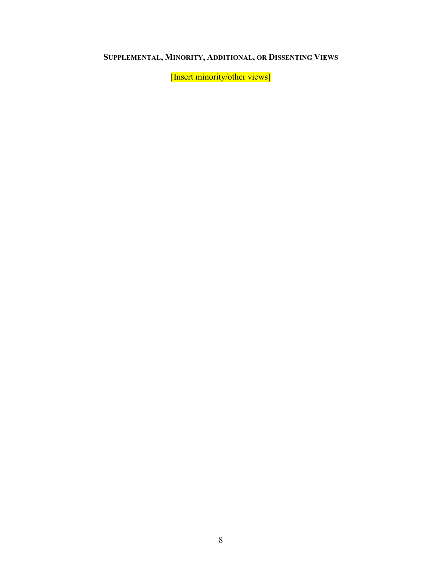# **SUPPLEMENTAL, MINORITY, ADDITIONAL, OR DISSENTING VIEWS**

[Insert minority/other views]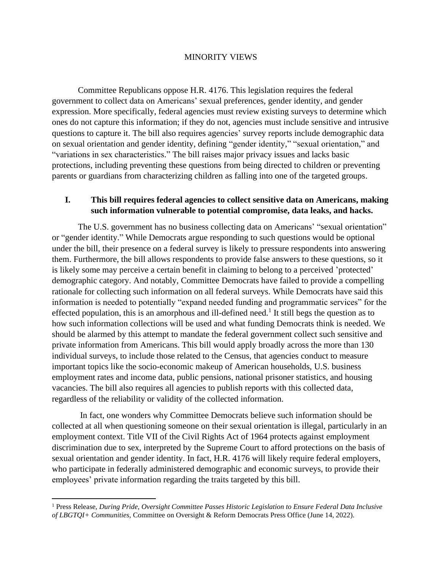## MINORITY VIEWS

Committee Republicans oppose H.R. 4176. This legislation requires the federal government to collect data on Americans' sexual preferences, gender identity, and gender expression. More specifically, federal agencies must review existing surveys to determine which ones do not capture this information; if they do not, agencies must include sensitive and intrusive questions to capture it. The bill also requires agencies' survey reports include demographic data on sexual orientation and gender identity, defining "gender identity," "sexual orientation," and "variations in sex characteristics." The bill raises major privacy issues and lacks basic protections, including preventing these questions from being directed to children or preventing parents or guardians from characterizing children as falling into one of the targeted groups.

## **I. This bill requires federal agencies to collect sensitive data on Americans, making such information vulnerable to potential compromise, data leaks, and hacks.**

The U.S. government has no business collecting data on Americans' "sexual orientation" or "gender identity." While Democrats argue responding to such questions would be optional under the bill, their presence on a federal survey is likely to pressure respondents into answering them. Furthermore, the bill allows respondents to provide false answers to these questions, so it is likely some may perceive a certain benefit in claiming to belong to a perceived 'protected' demographic category. And notably, Committee Democrats have failed to provide a compelling rationale for collecting such information on all federal surveys. While Democrats have said this information is needed to potentially "expand needed funding and programmatic services" for the effected population, this is an amorphous and ill-defined need.<sup>1</sup> It still begs the question as to how such information collections will be used and what funding Democrats think is needed. We should be alarmed by this attempt to mandate the federal government collect such sensitive and private information from Americans. This bill would apply broadly across the more than 130 individual surveys, to include those related to the Census, that agencies conduct to measure important topics like the socio-economic makeup of American households, U.S. business employment rates and income data, public pensions, national prisoner statistics, and housing vacancies. The bill also requires all agencies to publish reports with this collected data, regardless of the reliability or validity of the collected information.

In fact, one wonders why Committee Democrats believe such information should be collected at all when questioning someone on their sexual orientation is illegal, particularly in an employment context. Title VII of the Civil Rights Act of 1964 protects against employment discrimination due to sex, interpreted by the Supreme Court to afford protections on the basis of sexual orientation and gender identity. In fact, H.R. 4176 will likely require federal employers, who participate in federally administered demographic and economic surveys, to provide their employees' private information regarding the traits targeted by this bill.

<sup>1</sup> Press Release, *During Pride, Oversight Committee Passes Historic Legislation to Ensure Federal Data Inclusive of LBGTQI+ Communities*, Committee on Oversight & Reform Democrats Press Office (June 14, 2022).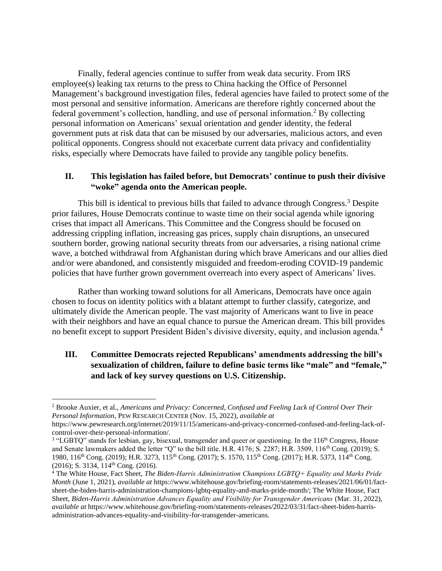Finally, federal agencies continue to suffer from weak data security. From IRS employee(s) leaking tax returns to the press to China hacking the Office of Personnel Management's background investigation files, federal agencies have failed to protect some of the most personal and sensitive information. Americans are therefore rightly concerned about the federal government's collection, handling, and use of personal information.<sup>2</sup> By collecting personal information on Americans' sexual orientation and gender identity, the federal government puts at risk data that can be misused by our adversaries, malicious actors, and even political opponents. Congress should not exacerbate current data privacy and confidentiality risks, especially where Democrats have failed to provide any tangible policy benefits.

## **II. This legislation has failed before, but Democrats' continue to push their divisive "woke" agenda onto the American people.**

This bill is identical to previous bills that failed to advance through Congress.<sup>3</sup> Despite prior failures, House Democrats continue to waste time on their social agenda while ignoring crises that impact all Americans. This Committee and the Congress should be focused on addressing crippling inflation, increasing gas prices, supply chain disruptions, an unsecured southern border, growing national security threats from our adversaries, a rising national crime wave, a botched withdrawal from Afghanistan during which brave Americans and our allies died and/or were abandoned, and consistently misguided and freedom-eroding COVID-19 pandemic policies that have further grown government overreach into every aspect of Americans' lives.

Rather than working toward solutions for all Americans, Democrats have once again chosen to focus on identity politics with a blatant attempt to further classify, categorize, and ultimately divide the American people. The vast majority of Americans want to live in peace with their neighbors and have an equal chance to pursue the American dream. This bill provides no benefit except to support President Biden's divisive diversity, equity, and inclusion agenda.<sup>4</sup>

## **III. Committee Democrats rejected Republicans' amendments addressing the bill's sexualization of children, failure to define basic terms like "male" and "female," and lack of key survey questions on U.S. Citizenship.**

<sup>2</sup> Brooke Auxier, et al., *Americans and Privacy: Concerned, Confused and Feeling Lack of Control Over Their Personal Information*, PEW RESEARCH CENTER (Nov. 15, 2022), *available at*

https://www.pewresearch.org/internet/2019/11/15/americans-and-privacy-concerned-confused-and-feeling-lack-ofcontrol-over-their-personal-information/.

<sup>&</sup>lt;sup>3</sup> "LGBTQ" stands for lesbian, gay, bisexual, transgender and queer or questioning. In the 116<sup>th</sup> Congress, House and Senate lawmakers added the letter "Q" to the bill title. H.R. 4176; S. 2287; H.R. 3509, 116th Cong. (2019); S. 1980, 116<sup>th</sup> Cong. (2019); H.R. 3273, 115<sup>th</sup> Cong. (2017); S. 1570, 115<sup>th</sup> Cong. (2017); H.R. 5373, 114<sup>th</sup> Cong.  $(2016)$ ; S. 3134, 114<sup>th</sup> Cong. (2016).

<sup>4</sup> The White House, Fact Sheet, *The Biden-Harris Administration Champions LGBTQ+ Equality and Marks Pride Month* (June 1, 2021), *available at* https://www.whitehouse.gov/briefing-room/statements-releases/2021/06/01/factsheet-the-biden-harris-administration-champions-lgbtq-equality-and-marks-pride-month/; The White House, Fact Sheet, *Biden-Harris Administration Advances Equality and Visibility for Transgender Americans* (Mar. 31, 2022), *available at* https://www.whitehouse.gov/briefing-room/statements-releases/2022/03/31/fact-sheet-biden-harrisadministration-advances-equality-and-visibility-for-transgender-americans.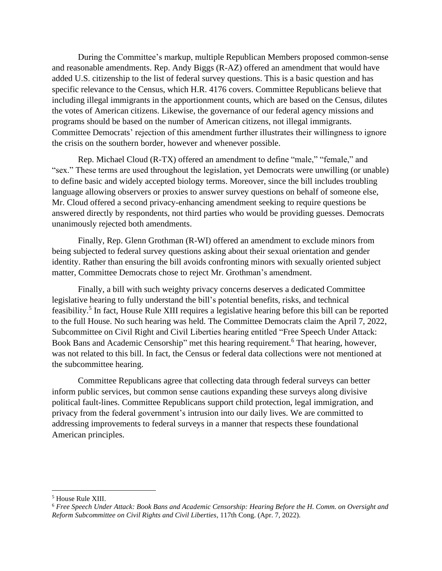During the Committee's markup, multiple Republican Members proposed common-sense and reasonable amendments. Rep. Andy Biggs (R-AZ) offered an amendment that would have added U.S. citizenship to the list of federal survey questions. This is a basic question and has specific relevance to the Census, which H.R. 4176 covers. Committee Republicans believe that including illegal immigrants in the apportionment counts, which are based on the Census, dilutes the votes of American citizens. Likewise, the governance of our federal agency missions and programs should be based on the number of American citizens, not illegal immigrants. Committee Democrats' rejection of this amendment further illustrates their willingness to ignore the crisis on the southern border, however and whenever possible.

Rep. Michael Cloud (R-TX) offered an amendment to define "male," "female," and "sex." These terms are used throughout the legislation, yet Democrats were unwilling (or unable) to define basic and widely accepted biology terms. Moreover, since the bill includes troubling language allowing observers or proxies to answer survey questions on behalf of someone else, Mr. Cloud offered a second privacy-enhancing amendment seeking to require questions be answered directly by respondents, not third parties who would be providing guesses. Democrats unanimously rejected both amendments.

Finally, Rep. Glenn Grothman (R-WI) offered an amendment to exclude minors from being subjected to federal survey questions asking about their sexual orientation and gender identity. Rather than ensuring the bill avoids confronting minors with sexually oriented subject matter, Committee Democrats chose to reject Mr. Grothman's amendment.

Finally, a bill with such weighty privacy concerns deserves a dedicated Committee legislative hearing to fully understand the bill's potential benefits, risks, and technical feasibility.<sup>5</sup> In fact, House Rule XIII requires a legislative hearing before this bill can be reported to the full House. No such hearing was held. The Committee Democrats claim the April 7, 2022, Subcommittee on Civil Right and Civil Liberties hearing entitled "Free Speech Under Attack: Book Bans and Academic Censorship" met this hearing requirement.<sup>6</sup> That hearing, however, was not related to this bill. In fact, the Census or federal data collections were not mentioned at the subcommittee hearing.

Committee Republicans agree that collecting data through federal surveys can better inform public services, but common sense cautions expanding these surveys along divisive political fault-lines. Committee Republicans support child protection, legal immigration, and privacy from the federal government's intrusion into our daily lives. We are committed to addressing improvements to federal surveys in a manner that respects these foundational American principles.

<sup>5</sup> House Rule XIII.

<sup>6</sup> *Free Speech Under Attack: Book Bans and Academic Censorship: Hearing Before the H. Comm. on Oversight and Reform Subcommittee on Civil Rights and Civil Liberties*, 117th Cong. (Apr. 7, 2022).